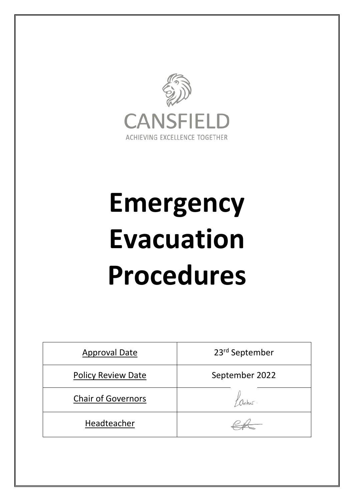

# **Emergency Evacuation Procedures**

| <b>Approval Date</b>      | 23rd September |
|---------------------------|----------------|
| <b>Policy Review Date</b> | September 2022 |
| <b>Chair of Governors</b> |                |
| Headteacher               |                |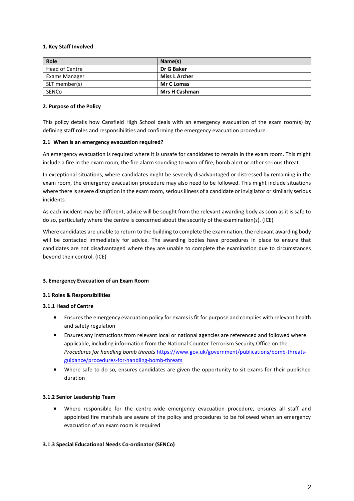## **1. Key Staff Involved**

| Role                 | Name(s)              |
|----------------------|----------------------|
| Head of Centre       | Dr G Baker           |
| <b>Exams Manager</b> | <b>Miss L Archer</b> |
| SLT member(s)        | <b>Mr C Lomas</b>    |
| SENCo                | <b>Mrs H Cashman</b> |

#### **2. Purpose of the Policy**

This policy details how Cansfield High School deals with an emergency evacuation of the exam room(s) by defining staff roles and responsibilities and confirming the emergency evacuation procedure.

## **2.1 When is an emergency evacuation required?**

An emergency evacuation is required where it is unsafe for candidates to remain in the exam room. This might include a fire in the exam room, the fire alarm sounding to warn of fire, bomb alert or other serious threat.

In exceptional situations, where candidates might be severely disadvantaged or distressed by remaining in the exam room, the emergency evacuation procedure may also need to be followed. This might include situations where there is severe disruption in the exam room, serious illness of a candidate or invigilator or similarly serious incidents.

As each incident may be different, advice will be sought from the relevant awarding body as soon as it is safe to do so, particularly where the centre is concerned about the security of the examination(s). (ICE)

Where candidates are unable to return to the building to complete the examination, the relevant awarding body will be contacted immediately for advice. The awarding bodies have procedures in place to ensure that candidates are not disadvantaged where they are unable to complete the examination due to circumstances beyond their control. (ICE)

# **3. Emergency Evacuation of an Exam Room**

#### **3.1 Roles & Responsibilities**

# **3.1.1 Head of Centre**

- Ensures the emergency evacuation policy for exams is fit for purpose and complies with relevant health and safety regulation
- Ensures any instructions from relevant local or national agencies are referenced and followed where applicable, including information from the National Counter Terrorism Security Office on the *Procedures for handling bomb threats* [https://www.gov.uk/government/publications/bomb-threats](https://www.gov.uk/government/publications/bomb-threats-guidance/procedures-for-handling-bomb-threats)[guidance/procedures-for-handling-bomb-threats](https://www.gov.uk/government/publications/bomb-threats-guidance/procedures-for-handling-bomb-threats)
- Where safe to do so, ensures candidates are given the opportunity to sit exams for their published duration

#### **3.1.2 Senior Leadership Team**

 Where responsible for the centre-wide emergency evacuation procedure, ensures all staff and appointed fire marshals are aware of the policy and procedures to be followed when an emergency evacuation of an exam room is required

#### **3.1.3 Special Educational Needs Co-ordinator (SENCo)**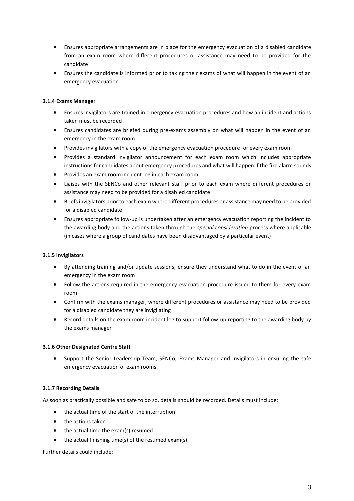- Ensures appropriate arrangements are in place for the emergency evacuation of a disabled candidate from an exam room where different procedures or assistance may need to be provided for the candidate
- Ensures the candidate is informed prior to taking their exams of what will happen in the event of an emergency evacuation

## **3.1.4 Exams Manager**

- Ensures invigilators are trained in emergency evacuation procedures and how an incident and actions taken must be recorded
- Ensures candidates are briefed during pre-exams assembly on what will happen in the event of an emergency in the exam room
- Provides invigilators with a copy of the emergency evacuation procedure for every exam room
- Provides a standard invigilator announcement for each exam room which includes appropriate instructions for candidates about emergency procedures and what will happen if the fire alarm sounds
- Provides an exam room incident log in each exam room
- Liaises with the SENCo and other relevant staff prior to each exam where different procedures or assistance may need to be provided for a disabled candidate
- Briefs invigilators prior to each exam where different procedures or assistance may need to be provided for a disabled candidate
- Ensures appropriate follow-up is undertaken after an emergency evacuation reporting the incident to the awarding body and the actions taken through the *special consideration* process where applicable (in cases where a group of candidates have been disadvantaged by a particular event)

#### **3.1.5 Invigilators**

- By attending training and/or update sessions, ensure they understand what to do in the event of an emergency in the exam room
- Follow the actions required in the emergency evacuation procedure issued to them for every exam room
- Confirm with the exams manager, where different procedures or assistance may need to be provided for a disabled candidate they are invigilating
- Record details on the exam room incident log to support follow-up reporting to the awarding body by the exams manager

#### **3.1.6 Other Designated Centre Staff**

 Support the Senior Leadership Team, SENCo, Exams Manager and Invigilators in ensuring the safe emergency evacuation of exam rooms

# **3.1.7 Recording Details**

As soon as practically possible and safe to do so, details should be recorded. Details must include:

- the actual time of the start of the interruption
- the actions taken
- the actual time the exam(s) resumed
- the actual finishing time(s) of the resumed exam(s)

Further details could include: